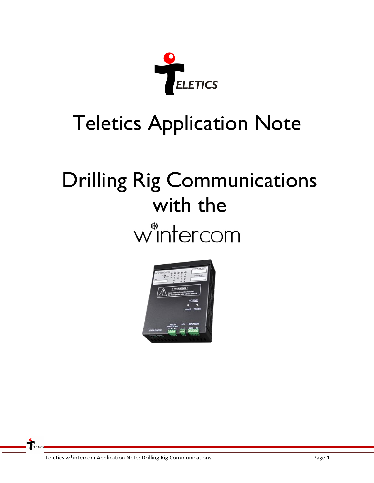

## Teletics Application Note

# Drilling Rig Communications with thew<sup>\*</sup>intercom

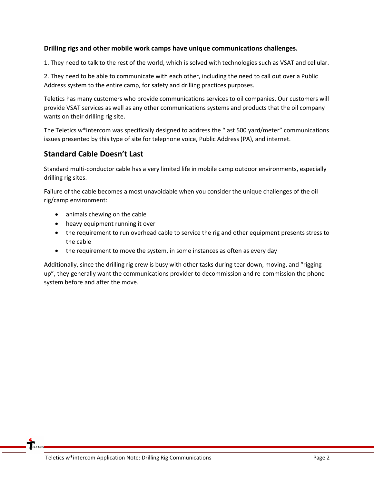#### **Drilling rigs and other mobile work camps have unique communications challenges.**

1. They need to talk to the rest of the world, which is solved with technologies such as VSAT and cellular.

2. They need to be able to communicate with each other, including the need to call out over a Public Address system to the entire camp, for safety and drilling practices purposes.

Teletics has many customers who provide communications services to oil companies. Our customers will provide VSAT services as well as any other communications systems and products that the oil company wants on their drilling rig site.

The Teletics w\*intercom was specifically designed to address the "last 500 yard/meter" communications issues presented by this type of site for telephone voice, Public Address (PA), and internet.

### **Standard Cable Doesn't Last**

Standard multi-conductor cable has a very limited life in mobile camp outdoor environments, especially drilling rig sites.

Failure of the cable becomes almost unavoidable when you consider the unique challenges of the oil rig/camp environment:

- animals chewing on the cable
- heavy equipment running it over
- the requirement to run overhead cable to service the rig and other equipment presents stress to the cable
- the requirement to move the system, in some instances as often as every day

Additionally, since the drilling rig crew is busy with other tasks during tear down, moving, and "rigging up", they generally want the communications provider to decommission and re-commission the phone system before and after the move.

 $T_{\text{ELETICS}}$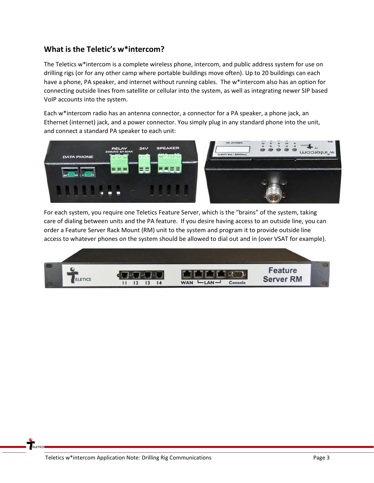## **What is the Teletic's w\*intercom?**

The Teletics w\*intercom is a complete wireless phone, intercom, and public address system for use on drilling rigs (or for any other camp where portable buildings move often). Up to 20 buildings can each have a phone, PA speaker, and internet without running cables. The w\*intercom also has an option for connecting outside lines from satellite or cellular into the system, as well as integrating newer SIP based VoIP accounts into the system.

Each w\*intercom radio has an antenna connector, a connector for a PA speaker, a phone jack, an Ethernet (internet) jack, and a power connector. You simply plug in any standard phone into the unit, and connect a standard PA speaker to each unit:



For each system, you require one Teletics Feature Server, which is the "brains" of the system, taking care of dialing between units and the PA feature. If you desire having access to an outside line, you can order a Feature Server Rack Mount (RM) unit to the system and program it to provide outside line access to whatever phones on the system should be allowed to dial out and in (over VSAT for example).

|         | <b>Requirements and control material control of the control of the control of the control of the control of the control of the control of the control of the control of the control of the control of the control of the control</b> |                                 |                             |  |
|---------|--------------------------------------------------------------------------------------------------------------------------------------------------------------------------------------------------------------------------------------|---------------------------------|-----------------------------|--|
| ELETICS | <b>The Company</b><br>$\overline{14}$                                                                                                                                                                                                | <b>WAN</b><br>$AN -$<br>Console | Feature<br><b>Server RM</b> |  |

ELETICS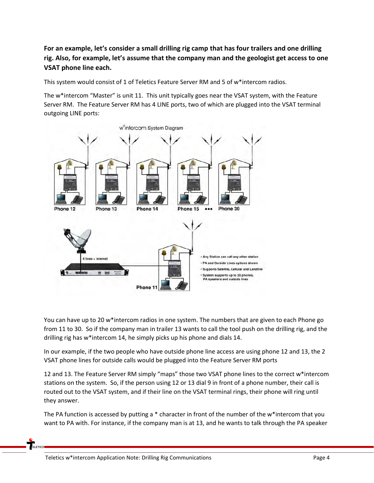**For an example, let's consider a small drilling rig camp that has four trailers and one drilling rig. Also, for example, let's assume that the company man and the geologist get access to one VSAT phone line each.**

This system would consist of 1 of Teletics Feature Server RM and 5 of w\*intercom radios.

The w\*intercom "Master" is unit 11. This unit typically goes near the VSAT system, with the Feature Server RM. The Feature Server RM has 4 LINE ports, two of which are plugged into the VSAT terminal outgoing LINE ports:



You can have up to 20 w\*intercom radios in one system. The numbers that are given to each Phone go from 11 to 30. So if the company man in trailer 13 wants to call the tool push on the drilling rig, and the drilling rig has w\*intercom 14, he simply picks up his phone and dials 14.

In our example, if the two people who have outside phone line access are using phone 12 and 13, the 2 VSAT phone lines for outside calls would be plugged into the Feature Server RM ports

12 and 13. The Feature Server RM simply "maps" those two VSAT phone lines to the correct w\*intercom stations on the system. So, if the person using 12 or 13 dial 9 in front of a phone number, their call is routed out to the VSAT system, and if their line on the VSAT terminal rings, their phone will ring until they answer.

The PA function is accessed by putting a \* character in front of the number of the w\*intercom that you want to PA with. For instance, if the company man is at 13, and he wants to talk through the PA speaker

**ELETICS**